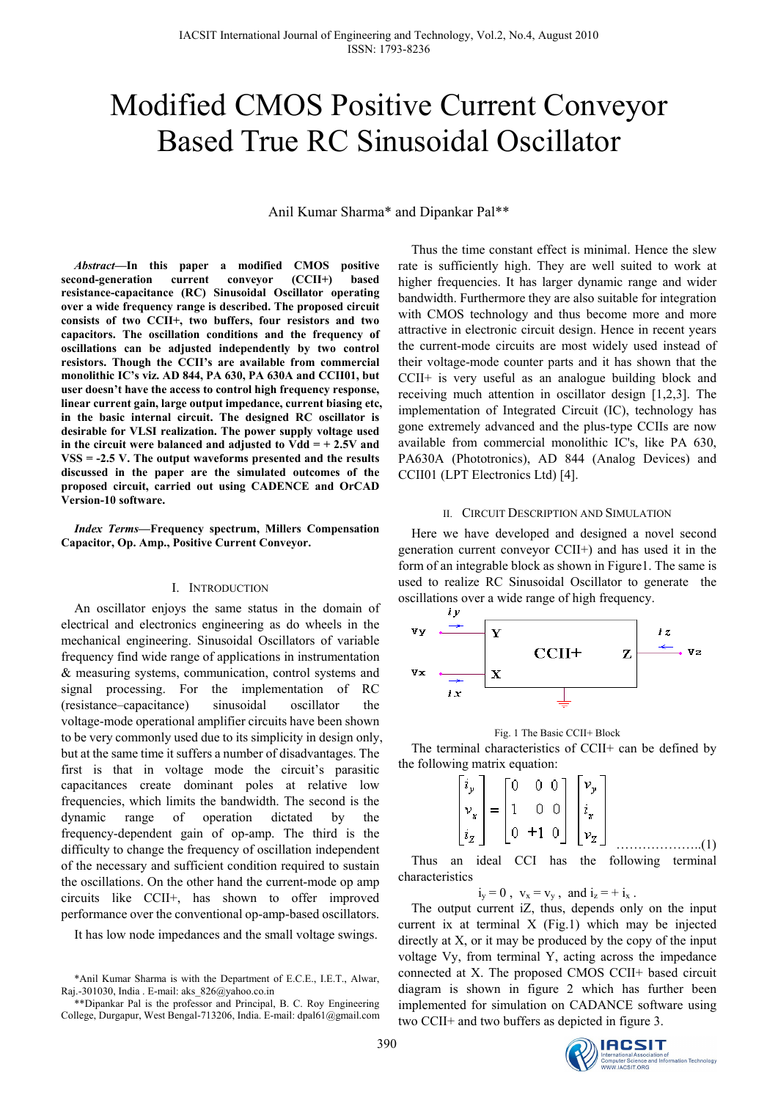# Modified CMOS Positive Current Conveyor Based True RC Sinusoidal Oscillator

Anil Kumar Sharma\* and Dipankar Pal\*\*

*Abstract***—In this paper a modified CMOS positive second-generation current conveyor (CCII+) based resistance-capacitance (RC) Sinusoidal Oscillator operating over a wide frequency range is described. The proposed circuit consists of two CCII+, two buffers, four resistors and two capacitors. The oscillation conditions and the frequency of oscillations can be adjusted independently by two control resistors. Though the CCII's are available from commercial monolithic IC's viz. AD 844, PA 630, PA 630A and CCII01, but user doesn't have the access to control high frequency response, linear current gain, large output impedance, current biasing etc, in the basic internal circuit. The designed RC oscillator is desirable for VLSI realization. The power supply voltage used in the circuit were balanced and adjusted to Vdd = + 2.5V and VSS = -2.5 V. The output waveforms presented and the results discussed in the paper are the simulated outcomes of the proposed circuit, carried out using CADENCE and OrCAD Version-10 software.** 

*Index Terms***—Frequency spectrum, Millers Compensation Capacitor, Op. Amp., Positive Current Conveyor.** 

## I. INTRODUCTION

An oscillator enjoys the same status in the domain of electrical and electronics engineering as do wheels in the mechanical engineering. Sinusoidal Oscillators of variable frequency find wide range of applications in instrumentation & measuring systems, communication, control systems and signal processing. For the implementation of RC (resistance–capacitance) sinusoidal oscillator the voltage-mode operational amplifier circuits have been shown to be very commonly used due to its simplicity in design only, but at the same time it suffers a number of disadvantages. The first is that in voltage mode the circuit's parasitic capacitances create dominant poles at relative low frequencies, which limits the bandwidth. The second is the dynamic range of operation dictated by the frequency-dependent gain of op-amp. The third is the difficulty to change the frequency of oscillation independent of the necessary and sufficient condition required to sustain the oscillations. On the other hand the current-mode op amp circuits like CCII+, has shown to offer improved performance over the conventional op-amp-based oscillators.

It has low node impedances and the small voltage swings.

\*Anil Kumar Sharma is with the Department of E.C.E., I.E.T., Alwar, Raj.-301030, India . E-mail: aks\_826@yahoo.co.in

\*\*Dipankar Pal is the professor and Principal, B. C. Roy Engineering College, Durgapur, West Bengal-713206, India. E-mail: dpal61@gmail.com

Thus the time constant effect is minimal. Hence the slew rate is sufficiently high. They are well suited to work at higher frequencies. It has larger dynamic range and wider bandwidth. Furthermore they are also suitable for integration with CMOS technology and thus become more and more attractive in electronic circuit design. Hence in recent years the current-mode circuits are most widely used instead of their voltage-mode counter parts and it has shown that the CCII+ is very useful as an analogue building block and receiving much attention in oscillator design [1,2,3]. The implementation of Integrated Circuit (IC), technology has gone extremely advanced and the plus-type CCIIs are now available from commercial monolithic IC's, like PA 630, PA630A (Phototronics), AD 844 (Analog Devices) and CCII01 (LPT Electronics Ltd) [4].

## II. CIRCUIT DESCRIPTION AND SIMULATION

Here we have developed and designed a novel second generation current conveyor CCII+) and has used it in the form of an integrable block as shown in Figure1. The same is used to realize RC Sinusoidal Oscillator to generate the oscillations over a wide range of high frequency.





The terminal characteristics of CCII+ can be defined by the following matrix equation:

$$
\begin{bmatrix} i_y \\ v_x \\ i_z \end{bmatrix} = \begin{bmatrix} 0 & 0 & 0 \\ 1 & 0 & 0 \\ 0 & +1 & 0 \end{bmatrix} \begin{bmatrix} v_y \\ i_x \\ v_z \end{bmatrix}
$$
 (1)

Thus an ideal CCI has the following terminal characteristics

 $i_y = 0$ ,  $v_x = v_y$ , and  $i_z = + i_x$ .

The output current iZ, thus, depends only on the input current ix at terminal X (Fig.1) which may be injected directly at X, or it may be produced by the copy of the input voltage Vy, from terminal Y, acting across the impedance connected at X. The proposed CMOS CCII+ based circuit diagram is shown in figure 2 which has further been implemented for simulation on CADANCE software using two CCII+ and two buffers as depicted in figure 3.

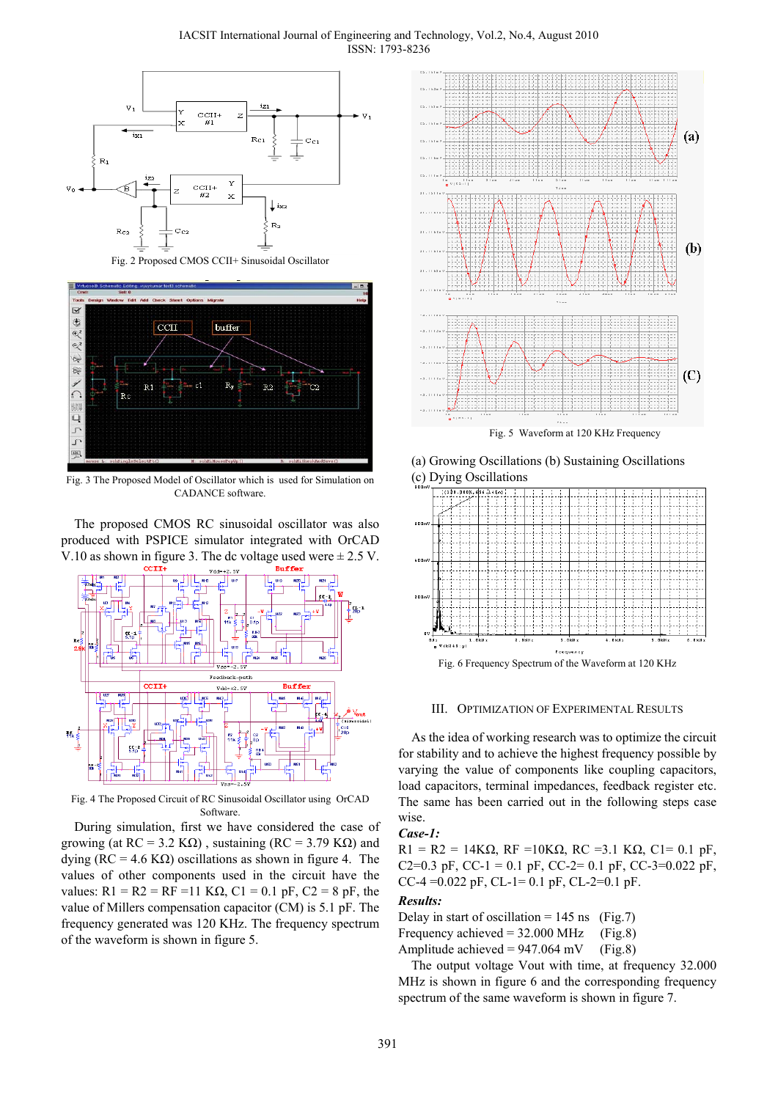IACSIT International Journal of Engineering and Technology, Vol.2, No.4, August 2010 ISSN: 1793-8236



Fig. 2 Proposed CMOS CCII+ Sinusoidal Oscillator



Fig. 3 The Proposed Model of Oscillator which is used for Simulation on CADANCE software.

The proposed CMOS RC sinusoidal oscillator was also produced with PSPICE simulator integrated with OrCAD V.10 as shown in figure 3. The dc voltage used were  $\pm$  2.5 V.



Fig. 4 The Proposed Circuit of RC Sinusoidal Oscillator using OrCAD Software.

During simulation, first we have considered the case of growing (at  $RC = 3.2 K\Omega$ ), sustaining ( $RC = 3.79 K\Omega$ ) and dying ( $RC = 4.6$  KΩ) oscillations as shown in figure 4. The values of other components used in the circuit have the values:  $R1 = R2 = RF = 11 K\Omega$ ,  $C1 = 0.1 pF$ ,  $C2 = 8 pF$ , the value of Millers compensation capacitor (CM) is 5.1 pF. The frequency generated was 120 KHz. The frequency spectrum of the waveform is shown in figure 5.



(a) Growing Oscillations (b) Sustaining Oscillations (c) Dying Oscillations



Fig. 6 Frequency Spectrum of the Waveform at 120 KHz

## III. OPTIMIZATION OF EXPERIMENTAL RESULTS

As the idea of working research was to optimize the circuit for stability and to achieve the highest frequency possible by varying the value of components like coupling capacitors, load capacitors, terminal impedances, feedback register etc. The same has been carried out in the following steps case wise.

## *Case-1:*

R1 = R2 = 14K $\Omega$ , RF =10K $\Omega$ , RC =3.1 K $\Omega$ , C1= 0.1 pF, C2=0.3 pF, CC-1 = 0.1 pF, CC-2= 0.1 pF, CC-3=0.022 pF, CC-4 =  $0.022$  pF, CL-1 =  $0.1$  pF, CL-2 =  $0.1$  pF.

## *Results:*

Delay in start of oscillation =  $145 \text{ ns}$  (Fig.7) Frequency achieved =  $32.000$  MHz (Fig.8) Amplitude achieved =  $947.064$  mV (Fig.8)

The output voltage Vout with time, at frequency 32.000 MHz is shown in figure 6 and the corresponding frequency spectrum of the same waveform is shown in figure 7.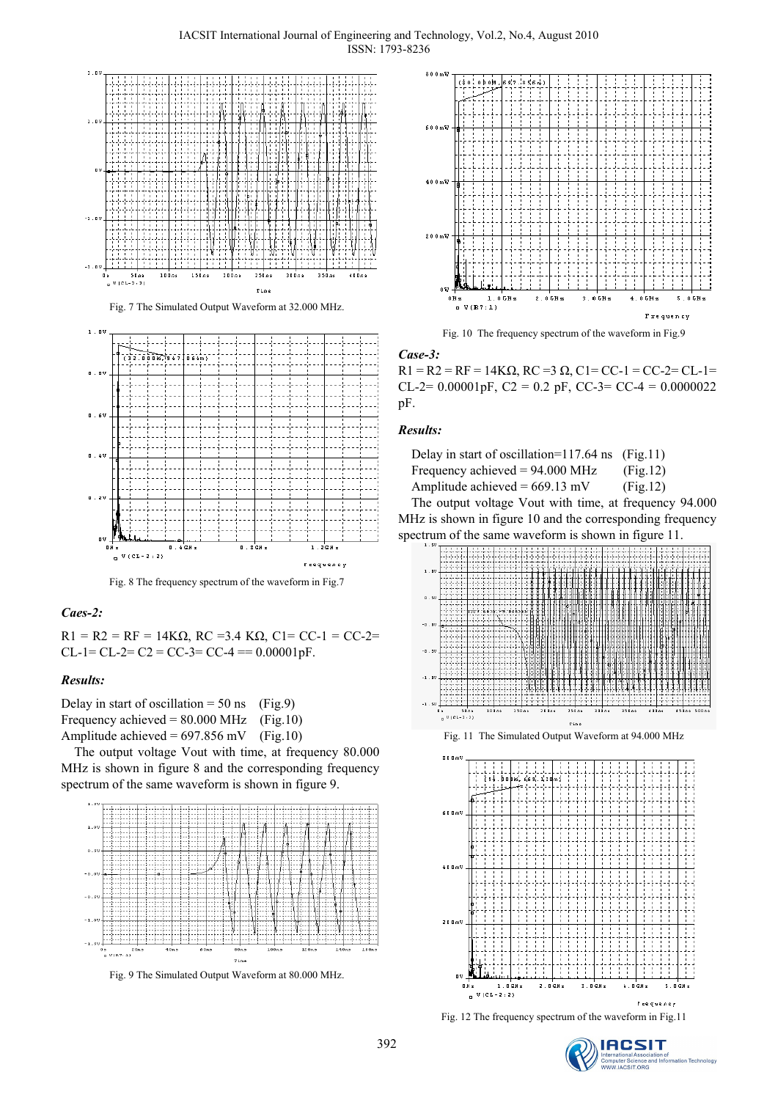



Fig. 7 The Simulated Output Waveform at 32.000 MHz.



Fig. 8 The frequency spectrum of the waveform in Fig.7

# *Caes-2:*

 $R1 = R2 = RF = 14K\Omega$ ,  $RC = 3.4 K\Omega$ ,  $Cl = CC-1 = CC-2=$  $CL-I = CL-2= C2 = CC-3= CC-4 == 0.00001pF.$ 

# *Results:*

Delay in start of oscillation =  $50 \text{ ns}$  (Fig.9) Frequency achieved =  $80.000$  MHz (Fig.10) Amplitude achieved =  $697.856$  mV (Fig.10)

The output voltage Vout with time, at frequency 80.000 MHz is shown in figure 8 and the corresponding frequency spectrum of the same waveform is shown in figure 9.



Fig. 9 The Simulated Output Waveform at 80.000 MHz.



Fig. 10 The frequency spectrum of the waveform in Fig.9

*Case-3:* 

 $R1 = R2 = RF = 14K\Omega$ ,  $RC = 3 \Omega$ ,  $Cl = CC-1 = CC-2 = CL-1$ CL-2=  $0.00001pF$ , C2 = 0.2 pF, CC-3= CC-4 =  $0.0000022$ pF.

## *Results:*

| Delay in start of oscillation= $117.64$ ns (Fig.11) |          |
|-----------------------------------------------------|----------|
| Frequency achieved = $94.000$ MHz                   | (Fig.12) |
| Amplitude achieved = $669.13$ mV                    | (Fig.12) |
|                                                     |          |

The output voltage Vout with time, at frequency 94.000 MHz is shown in figure 10 and the corresponding frequency spectrum of the same waveform is shown in figure 11.







Fig. 12 The frequency spectrum of the waveform in Fig.11